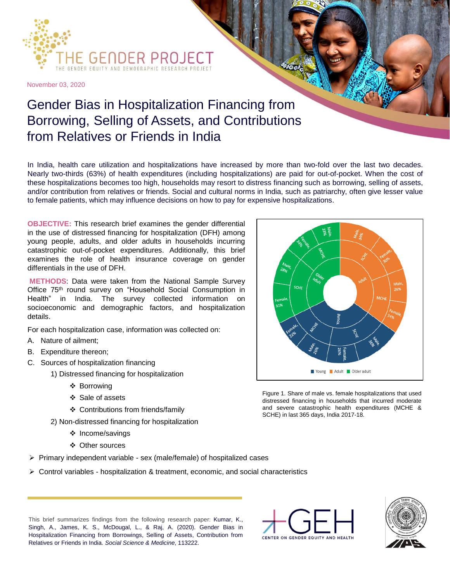

November 03, 2020

## Gender Bias in Hospitalization Financing from Borrowing, Selling of Assets, and Contributions from Relatives or Friends in India

In India, health care utilization and hospitalizations have increased by more than two-fold over the last two decades. Nearly two-thirds (63%) of health expenditures (including hospitalizations) are paid for out-of-pocket. When the cost of these hospitalizations becomes too high, households may resort to distress financing such as borrowing, selling of assets, and/or contribution from relatives or friends. Social and cultural norms in India, such as patriarchy, often give lesser value to female patients, which may influence decisions on how to pay for expensive hospitalizations.

**OBJECTIVE:** This research brief examines the gender differential in the use of distressed financing for hospitalization (DFH) among young people, adults, and older adults in households incurring catastrophic out-of-pocket expenditures. Additionally, this brief examines the role of health insurance coverage on gender differentials in the use of DFH.

**METHODS**: Data were taken from the National Sample Survey Office 75<sup>th</sup> round survey on "Household Social Consumption in Health" in India. The survey collected information on socioeconomic and demographic factors, and hospitalization details.

For each hospitalization case, information was collected on:

- A. Nature of ailment;
- B. Expenditure thereon;
- C. Sources of hospitalization financing
	- 1) Distressed financing for hospitalization
		- ❖ Borrowing
		- ❖ Sale of assets
		- ❖ Contributions from friends/family
		- 2) Non-distressed financing for hospitalization
			- ❖ Income/savings
			- ❖ Other sources
- ➢ Primary independent variable sex (male/female) of hospitalized cases
- ➢ Control variables hospitalization & treatment, economic, and social characteristics



Figure 1. Share of male vs. female hospitalizations that used distressed financing in households that incurred moderate and severe catastrophic health expenditures (MCHE & SCHE) in last 365 days, India 2017-18.

This brief summarizes findings from the following research paper: Kumar, K., Singh, A., James, K. S., McDougal, L., & Raj, A. (2020). Gender Bias in Hospitalization Financing from Borrowings, Selling of Assets, Contribution from Relatives or Friends in India. *Social Science & Medicine*, 113222.